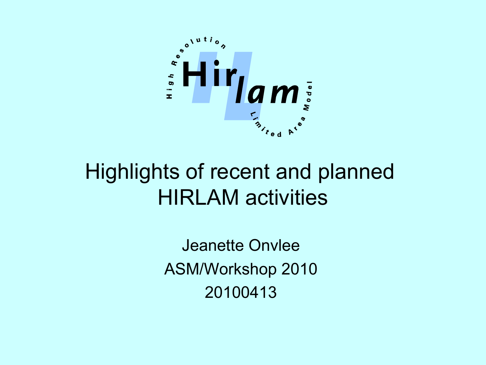

#### Highlights of recent and planned HIRLAM activities

Jeanette Onvlee ASM/Workshop 2010 20100413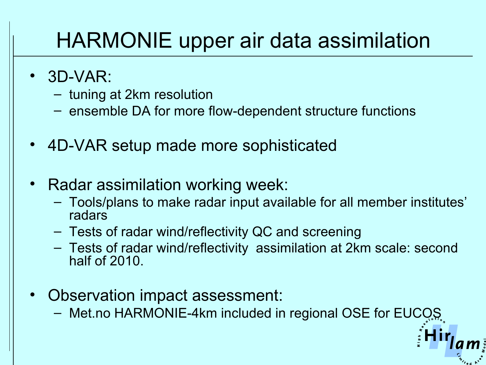## HARMONIE upper air data assimilation

- 3D-VAR:
	- tuning at 2km resolution
	- ensemble DA for more flow-dependent structure functions
- 4D-VAR setup made more sophisticated
- Radar assimilation working week:
	- Tools/plans to make radar input available for all member institutes' radars
	- Tests of radar wind/reflectivity QC and screening
	- Tests of radar wind/reflectivity assimilation at 2km scale: second half of 2010.
- Observation impact assessment:
	- Met.no HARMONIE-4km included in regional OSE for EUCOS.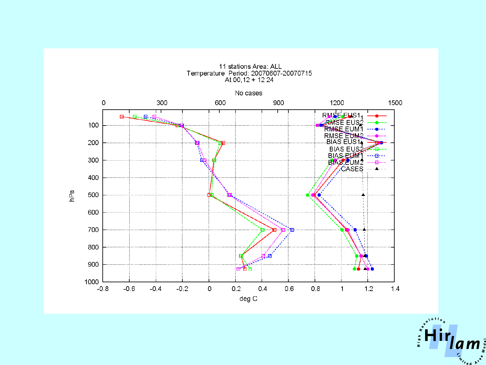

11 stations Area: ALL Temperature Period: 20070607-20070715<br>At 00,12 + 12 24

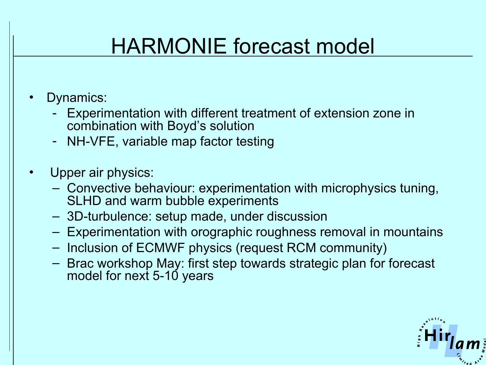# HARMONIE forecast model

- Dynamics:
	- Experimentation with different treatment of extension zone in combination with Boyd's solution
	- NH-VFE, variable map factor testing
- Upper air physics:
	- Convective behaviour: experimentation with microphysics tuning, SLHD and warm bubble experiments
	- 3D-turbulence: setup made, under discussion
	- Experimentation with orographic roughness removal in mountains
	- Inclusion of ECMWF physics (request RCM community)
	- Brac workshop May: first step towards strategic plan for forecast model for next 5-10 years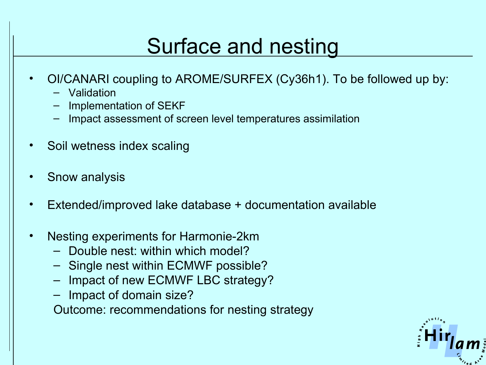### Surface and nesting

- OI/CANARI coupling to AROME/SURFEX (Cy36h1). To be followed up by:
	- Validation
	- Implementation of SEKF
	- Impact assessment of screen level temperatures assimilation
- Soil wetness index scaling
- Snow analysis
- Extended/improved lake database + documentation available
- Nesting experiments for Harmonie-2km
	- Double nest: within which model?
	- Single nest within ECMWF possible?
	- Impact of new ECMWF LBC strategy?
	- Impact of domain size?

Outcome: recommendations for nesting strategy

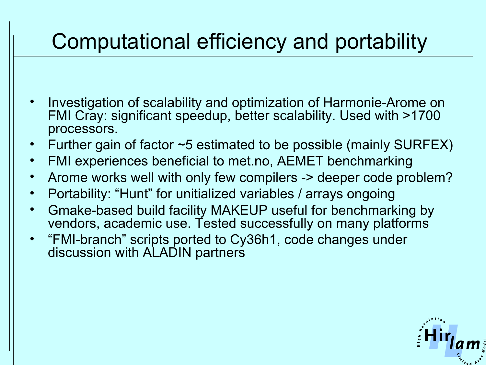## Computational efficiency and portability

- Investigation of scalability and optimization of Harmonie-Arome on FMI Cray: significant speedup, better scalability. Used with >1700 processors.
- Further gain of factor  $\sim$ 5 estimated to be possible (mainly SURFEX)
- FMI experiences beneficial to met.no, AEMET benchmarking
- Arome works well with only few compilers -> deeper code problem?
- Portability: "Hunt" for unitialized variables / arrays ongoing
- Gmake-based build facility MAKEUP useful for benchmarking by vendors, academic use. Tested successfully on many platforms
- "FMI-branch" scripts ported to Cy36h1, code changes under discussion with ALADIN partners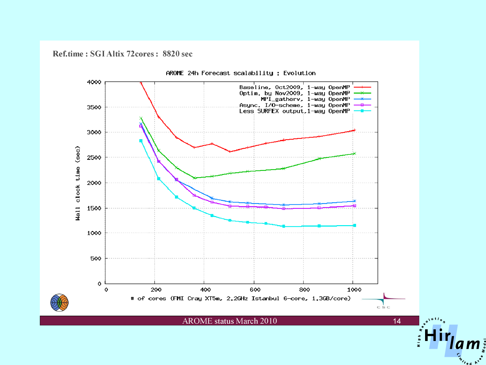Ref.time: SGI Altix 72cores: 8820 sec



AROME 24h Forecast scalability : Evolution

**AROME** status March 2010

 $14$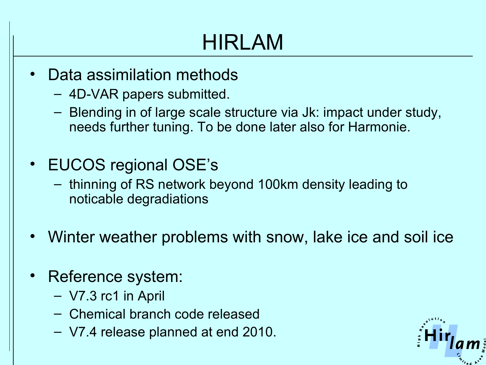# HIRLAM

- Data assimilation methods
	- 4D-VAR papers submitted.
	- Blending in of large scale structure via Jk: impact under study, needs further tuning. To be done later also for Harmonie.
- EUCOS regional OSE's
	- thinning of RS network beyond 100km density leading to noticable degradiations
- Winter weather problems with snow, lake ice and soil ice
- Reference system:
	- V7.3 rc1 in April
	- Chemical branch code released
	- V7.4 release planned at end 2010.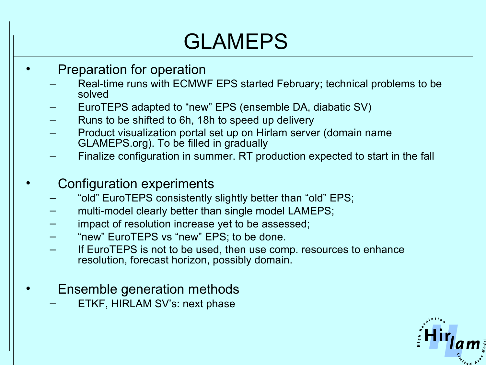# GLAMEPS

- Preparation for operation
	- Real-time runs with ECMWF EPS started February; technical problems to be solved
	- EuroTEPS adapted to "new" EPS (ensemble DA, diabatic SV)
	- Runs to be shifted to 6h, 18h to speed up delivery
	- Product visualization portal set up on Hirlam server (domain name GLAMEPS.org). To be filled in gradually
	- Finalize configuration in summer. RT production expected to start in the fall
- Configuration experiments
	- "old" EuroTEPS consistently slightly better than "old" EPS;
	- multi-model clearly better than single model LAMEPS;
	- impact of resolution increase yet to be assessed;
	- "new" EuroTEPS vs "new" EPS; to be done.
	- If EuroTEPS is not to be used, then use comp. resources to enhance resolution, forecast horizon, possibly domain.
- Ensemble generation methods
	- ETKF, HIRLAM SV's: next phase

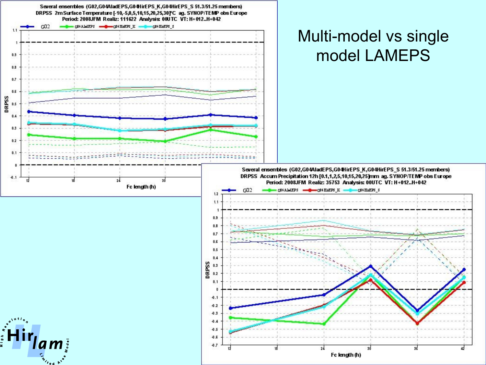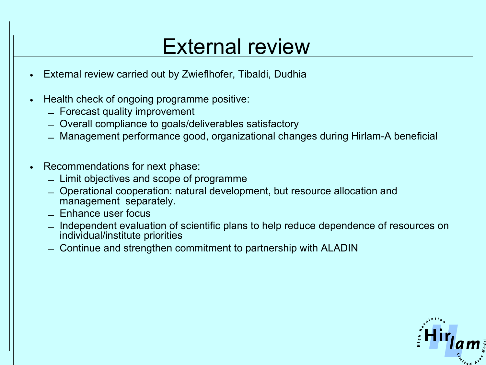#### External review

- External review carried out by Zwieflhofer, Tibaldi, Dudhia
- Health check of ongoing programme positive:
	- Forecast quality improvement
	- Overall compliance to goals/deliverables satisfactory
	- Management performance good, organizational changes during Hirlam-A beneficial
- Recommendations for next phase:
	- Limit objectives and scope of programme
	- Operational cooperation: natural development, but resource allocation and management separately.
	- Enhance user focus
	- Independent evaluation of scientific plans to help reduce dependence of resources on individual/institute priorities
	- Continue and strengthen commitment to partnership with ALADIN